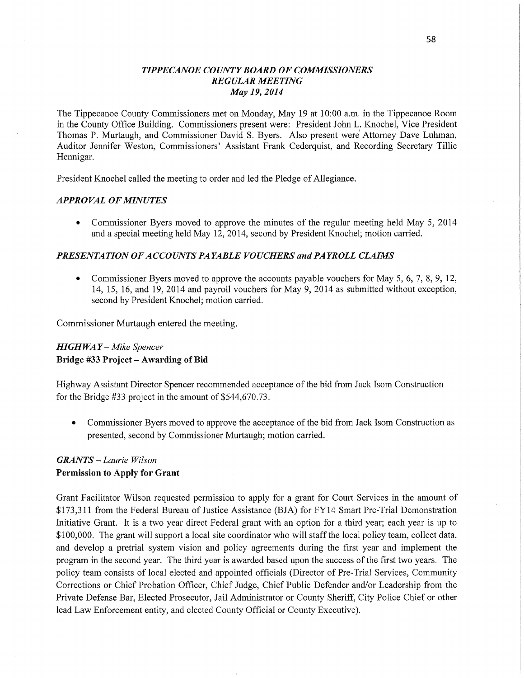### *TIPPECANOE* C0 *UNTYBOARD* OF *COMMISSIONERS REGULAR MEETING*  May 19, *2014*

The Tippecanoe County Commissioners met on Monday, May 19 at 10:00 a.m. in the Tippecanoe Room in the County Office Building. Commissioners present were: President John L. Knochel, Vice President Thomas P. Murtaugh, and Commissioner David S. Byers. Also present were' Attorney Dave Luhman, Auditor Jennifer Weston, Commissioners' Assistant Frank Cederquist, and Recording Secretary Tillie Hennigar.

President Knochel called the meeting to order and led the Pledge of Allegiance.

### *APPROVAL* OF *MINUTES*

**0** Commissioner Byers moved to approve the minutes of the regular meeting held May 5, 2014 and <sup>a</sup>special meeting held May 12, 2014, second by President Knochel; motion carried.

### *PRESENTATION* OF *ACCOUNT S PAYABLE VOUCHERS* and PA *YROLL CLAIMS*

**0** Commissioner Byers moved to approve the accounts payable vouchers for May 5, 6, 7, 8, 9, 12, 14, 15, 16, and' 19, 2014 and payroll vouchers for May 9, 2014 as submitted Without exception, second by President Knochel; motion carried.

Commissioner Murtaugh entered the meeting;

## *HIGH* WA *Y* —- *Mike Spencer*  **Bridge** #33 **Project — Awarding** of Bid

Highway Assistant Director Spencer recommended acceptance of the bid from Jack Isom Construction for the Bridge #33 project in the amount of \$544,670.73.

**0** Commissioner Byers moved to approve the acceptance of the bid from Jack Isom Construction as presented, second by Commissioner Murtaugh; motion carried.

## *GRANTS — Laurie Wilson*  Permission to **Apply** for **Grant**

Grant Facilitator Wilson requested permission to apply for <sup>a</sup>grant for Court Services in the amount of \$173,311 from the Federal Bureau of Justice Assistance (BIA) for FY14 Smart Pre-Trial Demonstration Initiative Grant. It is a two year direct Federal grant with an option for a third year; each year is up to \$100,000. The grant will support a local site coordinator who will staff the local policy team, collect data, and develop a pretrial system vision and policy agreements during the first year and implement the program in the second year. The third year is awarded based upon the **success** of the first two years. The policy team consists of local elected and appointed officials (Director of Pre—Trial Services, Community Corrections or Chief Probation Officer, Chief Judge, Chief Public Defender and/or Leadership from the Private Defense Bar, Elected Prosecutor, Jail Administrator or County Sheriff, City Police Chief or other lead Law Enforcement entity, and elected County Official or County Executive).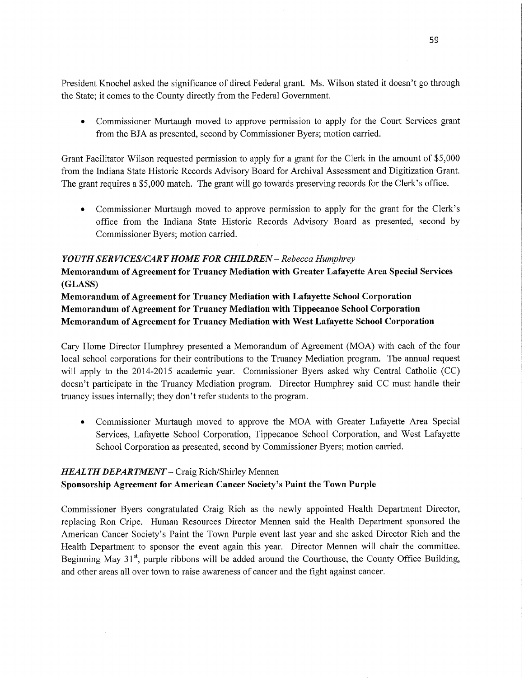President Knochel asked the significance of direct Federal grant. Ms. Wilson stated it doesn't go through the State; it comes to the County directly from the Federal Government.

**0** Commissioner Murtaugh moved to approve permission to apply for the Court Services gran<sup>t</sup> from the BIA as presented, second by Commissioner Byers; motion carried.

Grant Facilitator Wilson requested permission to apply for a grant for the Clerk in the amount of \$5,000 from the Indiana State Historic Records Advisory Board for Archival Assessment and Digitization Grant. The grant requires a \$5,000 match. The grant will go towards preserving records for the Clerk's **office.** 

• Commissioner Murtaugh moved to approve permission to apply for the grant for the Clerk's office **from** the Indiana State Historic Records Advisory Board as presented, second by Commissioner Byers; motion carried.

### *YOUTH* SER *VICES/CARY HOME* FOR *CHILDREN* — *Rebecca Humphrey*

**Memorandum** of **Agreement** for **Truancy Mediation with Greater Lafayette** Area **Special Services (GLASS)** 

**Memorandum** of **Agreement** for **Truancy Mediation with Lafayette** School **Corporation Memorandum** of **Agreement** for **Truancy Mediation** with **Tippecanoe** School **Corporation Memorandum** of **Agreement** for **Truancy Mediation** with **West Lafayette School Corporation** 

Cary Home Director Humphrey presented a Memorandum of Agreement (MOA) with each of the four local school corporations for their contributions to the Truancy Mediation program. The annual reques<sup>t</sup> will apply to the 2014-2015 academic year. Commissioner Byers asked why Central Catholic (CC) doesn't participate in the Truancy Mediation program. Director Humphrey said CC must handle their truancy issues internally; they don't refer students to the program.

*0* Commissioner Murtaugh moved to approve the MOA with Greater Lafayette Area Special Services, Lafayette School Corporation, Tippecanoe School Corporation, and West Lafayette School Corporation as presented, second by Commissioner Byers; motion carried.

# *HEAL* TH *DEPARTMENT* **—** Craig Rich/ Shirley **Mennen Sponsorship Agreement** for **American Cancer Society's** Paint the **Town Purple**

Commissioner Byers congratulated Craig Rich as the newly appointed Health Department Director, replacing Ron Cripe. Human Resources Director Mennen said the Health Department sponsored the American Cancer Society's Paint the Town Purple event last year and she asked Director Rich and the Health Department to sponsor the event again this year. Director Mennen will chair the committee. Beginning May  $31<sup>st</sup>$ , purple ribbons will be added around the Courthouse, the County Office Building, and other areas all over town to raise awareness of cancer and the fight against cancer.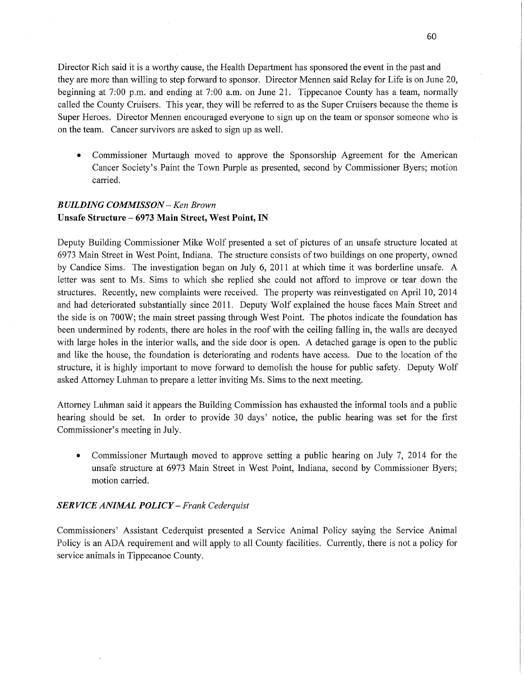Director Rich said it is a worthy cause, the Health Department has sponsored the event in the past and they are more than willing to step forward to sponsor. Director Mennen said Relay for Life is on June 20, beginning at 7:00 pm. and ending at 7:00 am. on June 21. Tippecanoe County has a team, normally called the County Cruisers. This year, they will be referred to as the Super Cruisers because the theme is Super Heroes. Director Mennen encouraged everyone to Sign up on the team or sponsor someone who is on the team. Cancer survivors are asked to sign up as well.

Commissioner Murtaugh moved to approve the Sponsorship Agreement for the American Cancer Society's Paint the Town Purple as presented, second by Commissioner Byers; motion carried.

# *BUILDING COMMISSON —* Ken *Brown*  **Unsafe Structure — 6973 Main Street, West** Point, IN

Deputy Building Commissioner Mike Wolf presented a set of pictures of an unsafe structure located at 6973 Main Street in West Point, **Indiana.** The structure consists of two buildings on one property, owned by Candice Sims. The investigation began on July 6, 2011 at which time it was borderline unsafe. A letter was sent to Ms. Sims to which she replied she could not afford to improve or tear down the structures. Recently, new complaints were received. The property was reinvestigated on **April** 10, 2014 and had deteriorated substantially since 2011. Deputy Wolf explained the house faces Main Street and the side is on 700W; the main street passing through West Point. The photos indicate the foundation has been undermined by rodents, there are holes in the roof with the ceiling falling in, the walls are decayed with large holes in the interior walls, and the side door is open. A detached garage is open to the public and like the house, the foundation is deteriorating and rodents have access. Due to the location of the structure, it is highly important to move forward to demolish the house for public safety. Deputy Wolf asked Attorney Luhman to prepare a letter inviting Ms. **Sims** to the next meeting.

Attorney Luhman said it appears the Building Commission has exhausted the informal tools and a public hearing should be set. In order to provide 30 days' notice, the public hearing was set for the first Commissioner's meeting in July.

**0** Commissioner Murtaugh moved to approve setting <sup>a</sup>public hearing on July 7, 2014 for the unsafe structure at 6973 Main Street in West Point, Indiana, second by Commissioner Byers; motion carried.

### *SERVICE ANIIKAL POLICY* **—** *Frank Cederquist*

Commissioners' Assistant Cederquist presented a Service Animal Policy saying the Service Animal Policy is an ADA requirement and will apply to all County facilities. Currently, there is not <sup>a</sup>policy for service animals in Tippecanoe County.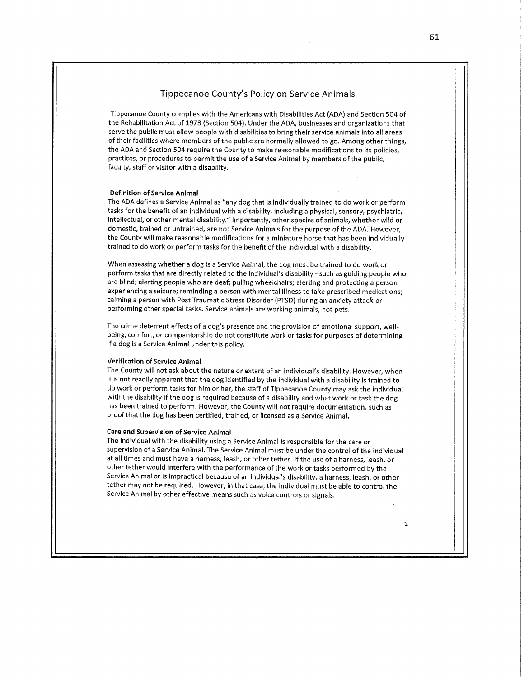#### Tippecanoe County's Policy on Service Animals

**Tippecanoe** County complies with the Americans with Dlsabllltles Act (ADA) and **Section** 504 of the Rehabilitation Act of 1973 (Section 504). Under the ADA, businesses and organizations that serve the **public must** allow people with **disabilities** to bring thelr service anlmals Into all **areas**  of their **facilltles** where members of the **public** are normally allowed to go. Among other things, the ADA and Section 504 requlre the County to make reasonable **modifications** to Its **policies, practices,** or **procedures** to **permit** the use of **a Service** Animal by members of the public, faculty, **staff** or visitor wlth *a* disability.

#### **Deflnltlon** of **Service** Animal

The ADA defines *a* Service Animal as "any dog **that** Is Individually trained to do work or perform **tasks** for the benefit of an lndlvldual with **a** disability, Including *a* physical, sensory, psychiatric, lnteHectual, or other **mental** disability." lmportantly, other specles of anlmals, whether wild or domestic, tralned or untralned, are not Service Anlmals for the purpose of the ADA. However, the County wlll make **reasonable** modifications for **a** miniature horse that has been **Individually**  trained to do work or perform tasks for the benefit of the Individual with **a** disability.

When assessing whether **a** dog Is **a Service** Animal, the dog must be trained to do work or perform tasks that are directly **related** to the lndlvldual's disability *-* such as guiding people who are **blind; aiertlng** people who are **deaf; pulling wheelchairs; alerting** and protecting <sup>a</sup>person experiencing **a seizure;** remlndlng **<sup>a</sup>**person with mental Illness to take prescribed medicatlons; **calming** *<sup>a</sup>*person with Post Traumatic **Stress Disorder** (PTSD) during an anxiety **attack** or **performlng** other **spe'clal** tasks. Servlce anlmals are working anlmals, not pets.

The **crlme deterrent effects** of **a** dog's presence and the provlslon of emotional support, wellbelng, comfort, or **companionship** do not **constitute** work or tasks for purposes of determlnlng if a dog Is a Service Animal under thls policy.

#### **Verlflcatlon** of **Service Animal**

The County will not ask about the nature or extent of an Individual's dlsablllty. However, when it Is not readily **apparent that** the dog **Identified** by the Individual with **a** dlsabillty ls trained to do work or perform **tasks** for him or her, the **staff** of Tlppecanoe County may ask the Individual with the disability if the dog ls required **because** of **a** disability and what work or task the dog has been **trained** to perform. However, the County wlll not require documentation, such as proof **that** the dog has been certified, trained, or licensed as **a** Service Anlmal.

#### **Care** and **Supervision** of **Service** Animal .

The **Individual** with the dlsabillty using **a Service** Animal ls responslble for the **care** or supervision of *a* **Service** Animal. The Service Animal must be under the control of the individual at all times and must have **a** harness, leash, or other tether. If the use of *a* harness, leash, or other tether would Interfere with the **performance** of the Work or tasks performed by the Service Animal or ls **impractical because** of an lndlvidual's dlsablllty, *a* harness, leash, or other tether may not be required. However, In that **case,** the individual must be able to control the Service Animal by other **effective** means **such** as voice **controls** or signals.

 $\mathbf{1}$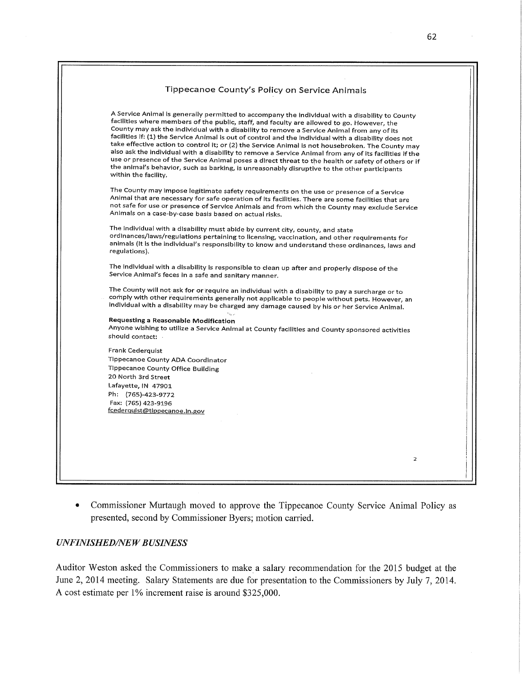|                      | Tippecanoe County's Policy on Service Animals                                                                                                                                                    |
|----------------------|--------------------------------------------------------------------------------------------------------------------------------------------------------------------------------------------------|
|                      |                                                                                                                                                                                                  |
|                      |                                                                                                                                                                                                  |
|                      | A Service Animal is generally permitted to accompany the individual with a disability to County                                                                                                  |
|                      | facilities where members of the public, staff, and faculty are allowed to go. However, the<br>County may ask the individual with a disability to remove a Service Animal from any of its         |
|                      | facilities if: (1) the Service Animal is out of control and the individual with a disability does not                                                                                            |
|                      | take effective action to control it; or (2) the Service Animal is not housebroken. The County may                                                                                                |
|                      | also ask the individual with a disability to remove a Service Animal from any of its facilities if the                                                                                           |
|                      | use or presence of the Service Animal poses a direct threat to the health or safety of others or if                                                                                              |
|                      | the animal's behavior, such as barking, is unreasonably disruptive to the other participants                                                                                                     |
| within the facility. |                                                                                                                                                                                                  |
|                      | The County may impose legitimate safety requirements on the use or presence of a Service                                                                                                         |
|                      | Animal that are necessary for safe operation of its facilities. There are some facilities that are                                                                                               |
|                      | not safe for use or presence of Service Animals and from which the County may exclude Service                                                                                                    |
|                      | Animals on a case-by-case basis based on actual risks.                                                                                                                                           |
|                      |                                                                                                                                                                                                  |
|                      | The individual with a disability must abide by current city, county, and state                                                                                                                   |
|                      | ordinances/laws/regulations pertaining to licensing, vaccination, and other requirements for<br>animals (It is the individual's responsibility to know and understand these ordinances, laws and |
| regulations).        |                                                                                                                                                                                                  |
|                      |                                                                                                                                                                                                  |
|                      | The individual with a disability is responsible to clean up after and properly dispose of the                                                                                                    |
|                      | Service Animal's feces in a safe and sanitary manner.                                                                                                                                            |
|                      |                                                                                                                                                                                                  |
|                      | The County will not ask for or require an individual with a disability to pay a surcharge or to<br>comply with other requirements generally not applicable to people without pets. However, an   |
|                      | individual with a disability may be charged any damage caused by his or her Service Animal.                                                                                                      |
|                      |                                                                                                                                                                                                  |
|                      | Requesting a Reasonable Modification                                                                                                                                                             |
|                      | Anyone wishing to utilize a Service Animal at County facilities and County sponsored activities                                                                                                  |
| should contact:      |                                                                                                                                                                                                  |
| Frank Cederguist     |                                                                                                                                                                                                  |
|                      | Tippecanoe County ADA Coordinator                                                                                                                                                                |
|                      | <b>Tippecanoe County Office Building</b>                                                                                                                                                         |
| 20 North 3rd Street  |                                                                                                                                                                                                  |
| Lafayette, IN 47901  |                                                                                                                                                                                                  |
| Ph: (765)-423-9772   |                                                                                                                                                                                                  |
| Fax: (765) 423-9196  |                                                                                                                                                                                                  |
|                      | fcederquist@tippecanoe.in.gov                                                                                                                                                                    |
|                      |                                                                                                                                                                                                  |
|                      |                                                                                                                                                                                                  |
|                      |                                                                                                                                                                                                  |
|                      |                                                                                                                                                                                                  |
|                      | $\overline{a}$                                                                                                                                                                                   |
|                      |                                                                                                                                                                                                  |
|                      |                                                                                                                                                                                                  |
|                      |                                                                                                                                                                                                  |

**0** Commissioner Murtaugh moved **to** approve **the** Tippecanoe County Service Animal Policy **as**  presented, second **by** Commissioner Byers; motion carried.

# *UNFINISHED/NEW BUSINESS*

Auditor Weston asked the Commissioners to make a salary recommendation for the 2015 budget at the June **2,** 2014 meeting. Salary Statements **are due for** presentation **to the** Commissioners **by** July **7,** 2014. A cost estimate **per 1%** increment raise **is** around \$325,000.